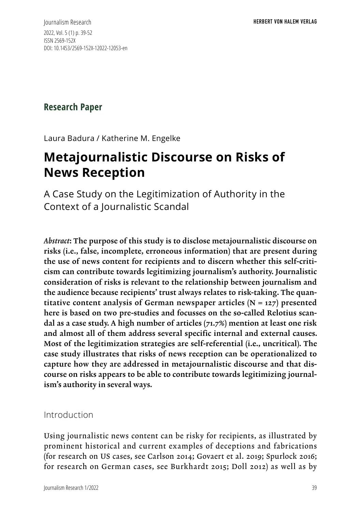Journalism Research 2022, Vol. 5 (1) p. 39-52 ISSN 2569-152X DOI: 10.1453/2569-152X-12022-12053-en

**Research Paper**

Laura Badura / Katherine M. Engelke

# **Metajournalistic Discourse on Risks of News Reception**

A Case Study on the Legitimization of Authority in the Context of a Journalistic Scandal

*Abstract*: The purpose of this study is to disclose metajournalistic discourse on risks (i.e., false, incomplete, erroneous information) that are present during the use of news content for recipients and to discern whether this self-criticism can contribute towards legitimizing journalism's authority. Journalistic consideration of risks is relevant to the relationship between journalism and the audience because recipients' trust always relates to risk-taking. The quantitative content analysis of German newspaper articles  $(N = 127)$  presented here is based on two pre-studies and focusses on the so-called Relotius scandal as a case study. A high number of articles (71.7%) mention at least one risk and almost all of them address several specific internal and external causes. Most of the legitimization strategies are self-referential (i.e., uncritical). The case study illustrates that risks of news reception can be operationalized to capture how they are addressed in metajournalistic discourse and that discourse on risks appears to be able to contribute towards legitimizing journalism's authority in several ways.

### Introduction

Using journalistic news content can be risky for recipients, as illustrated by prominent historical and current examples of deceptions and fabrications (for research on US cases, see Carlson 2014; Govaert et al. 2019; Spurlock 2016; for research on German cases, see Burkhardt 2015; Doll 2012) as well as by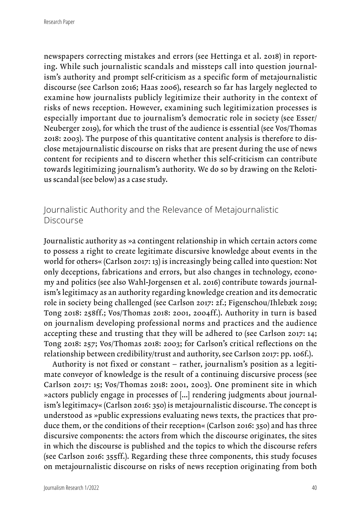newspapers correcting mistakes and errors (see Hettinga et al. 2018) in reporting. While such journalistic scandals and missteps call into question journalism's authority and prompt self-criticism as a specific form of metajournalistic discourse (see Carlson 2016; Haas 2006), research so far has largely neglected to examine how journalists publicly legitimize their authority in the context of risks of news reception. However, examining such legitimization processes is especially important due to journalism's democratic role in society (see Esser/ Neuberger 2019), for which the trust of the audience is essential (see Vos/Thomas 2018: 2003). The purpose of this quantitative content analysis is therefore to disclose metajournalistic discourse on risks that are present during the use of news content for recipients and to discern whether this self-criticism can contribute towards legitimizing journalism's authority. We do so by drawing on the Relotius scandal (see below) as a case study.

# Journalistic Authority and the Relevance of Metajournalistic Discourse

Journalistic authority as »a contingent relationship in which certain actors come to possess a right to create legitimate discursive knowledge about events in the world for others« (Carlson 2017: 13) is increasingly being called into question: Not only deceptions, fabrications and errors, but also changes in technology, economy and politics (see also Wahl-Jorgensen et al. 2016) contribute towards journalism's legitimacy as an authority regarding knowledge creation and its democratic role in society being challenged (see Carlson 2017: 2f.; Figenschou/Ihlebæk 2019; Tong 2018: 258ff.; Vos/Thomas 2018: 2001, 2004ff.). Authority in turn is based on journalism developing professional norms and practices and the audience accepting these and trusting that they will be adhered to (see Carlson 2017: 14; Tong 2018: 257; Vos/Thomas 2018: 2003; for Carlson's critical reflections on the relationship between credibility/trust and authority, see Carlson 2017: pp. 106f.).

Authority is not fixed or constant – rather, journalism's position as a legitimate conveyor of knowledge is the result of a continuing discursive process (see Carlson 2017: 15; Vos/Thomas 2018: 2001, 2003). One prominent site in which »actors publicly engage in processes of […] rendering judgments about journalism's legitimacy« (Carlson 2016: 350) is metajournalistic discourse. The concept is understood as »public expressions evaluating news texts, the practices that produce them, or the conditions of their reception« (Carlson 2016: 350) and has three discursive components: the actors from which the discourse originates, the sites in which the discourse is published and the topics to which the discourse refers (see Carlson 2016: 355ff.). Regarding these three components, this study focuses on metajournalistic discourse on risks of news reception originating from both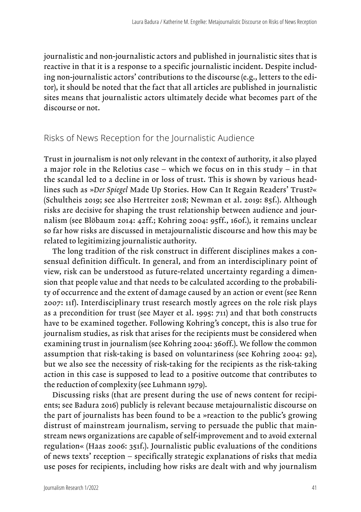journalistic and non-journalistic actors and published in journalistic sites that is reactive in that it is a response to a specific journalistic incident. Despite including non-journalistic actors' contributions to the discourse (e.g., letters to the editor), it should be noted that the fact that all articles are published in journalistic sites means that journalistic actors ultimately decide what becomes part of the discourse or not.

#### Risks of News Reception for the Journalistic Audience

Trust in journalism is not only relevant in the context of authority, it also played a major role in the Relotius case – which we focus on in this study – in that the scandal led to a decline in or loss of trust. This is shown by various headlines such as »*Der Spiegel* Made Up Stories. How Can It Regain Readers' Trust?« (Schultheis 2019; see also Hertreiter 2018; Newman et al. 2019: 85f.). Although risks are decisive for shaping the trust relationship between audience and journalism (see Blöbaum 2014: 42ff.; Kohring 2004: 95ff., 160f.), it remains unclear so far how risks are discussed in metajournalistic discourse and how this may be related to legitimizing journalistic authority.

The long tradition of the risk construct in different disciplines makes a consensual definition difficult. In general, and from an interdisciplinary point of view, risk can be understood as future-related uncertainty regarding a dimension that people value and that needs to be calculated according to the probability of occurrence and the extent of damage caused by an action or event (see Renn 2007: 11f). Interdisciplinary trust research mostly agrees on the role risk plays as a precondition for trust (see Mayer et al. 1995: 711) and that both constructs have to be examined together. Following Kohring's concept, this is also true for journalism studies, as risk that arises for the recipients must be considered when examining trust in journalism (see Kohring 2004: 360ff.). We follow the common assumption that risk-taking is based on voluntariness (see Kohring 2004: 92), but we also see the necessity of risk-taking for the recipients as the risk-taking action in this case is supposed to lead to a positive outcome that contributes to the reduction of complexity (see Luhmann 1979).

Discussing risks (that are present during the use of news content for recipients; see Badura 2016) publicly is relevant because metajournalistic discourse on the part of journalists has been found to be a »reaction to the public's growing distrust of mainstream journalism, serving to persuade the public that mainstream news organizations are capable of self-improvement and to avoid external regulation« (Haas 2006: 351f.). Journalistic public evaluations of the conditions of news texts' reception – specifically strategic explanations of risks that media use poses for recipients, including how risks are dealt with and why journalism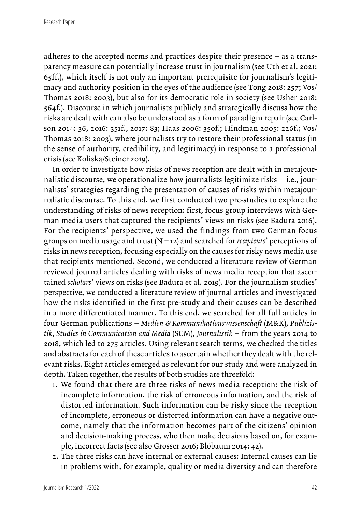adheres to the accepted norms and practices despite their presence – as a transparency measure can potentially increase trust in journalism (see Uth et al. 2021: 65ff.), which itself is not only an important prerequisite for journalism's legitimacy and authority position in the eyes of the audience (see Tong 2018: 257; Vos/ Thomas 2018: 2003), but also for its democratic role in society (see Usher 2018: 564f.). Discourse in which journalists publicly and strategically discuss how the risks are dealt with can also be understood as a form of paradigm repair (see Carlson 2014: 36, 2016: 351f., 2017: 83; Haas 2006: 350f.; Hindman 2005: 226f.; Vos/ Thomas 2018: 2003), where journalists try to restore their professional status (in the sense of authority, credibility, and legitimacy) in response to a professional crisis (see Koliska/Steiner 2019).

In order to investigate how risks of news reception are dealt with in metajournalistic discourse, we operationalize how journalists legitimize risks – i.e., journalists' strategies regarding the presentation of causes of risks within metajournalistic discourse. To this end, we first conducted two pre-studies to explore the understanding of risks of news reception: first, focus group interviews with German media users that captured the recipients' views on risks (see Badura 2016). For the recipients' perspective, we used the findings from two German focus groups on media usage and trust (N = 12) and searched for *recipients*' perceptions of risks in news reception, focusing especially on the causes for risky news media use that recipients mentioned. Second, we conducted a literature review of German reviewed journal articles dealing with risks of news media reception that ascertained *scholars*' views on risks (see Badura et al. 2019). For the journalism studies' perspective, we conducted a literature review of journal articles and investigated how the risks identified in the first pre-study and their causes can be described in a more differentiated manner. To this end, we searched for all full articles in four German publications – *Medien & Kommunikationswissenschaft* (M&K), *Publizistik*, *Studies in Communication and Media* (SCM), *Journalistik* – from the years 2014 to 2018, which led to 275 articles. Using relevant search terms, we checked the titles and abstracts for each of these articles to ascertain whether they dealt with the relevant risks. Eight articles emerged as relevant for our study and were analyzed in depth. Taken together, the results of both studies are threefold:

- 1. We found that there are three risks of news media reception: the risk of incomplete information, the risk of erroneous information, and the risk of distorted information. Such information can be risky since the reception of incomplete, erroneous or distorted information can have a negative outcome, namely that the information becomes part of the citizens' opinion and decision-making process, who then make decisions based on, for example, incorrect facts (see also Grosser 2016; Blöbaum 2014: 42).
- 2. The three risks can have internal or external causes: Internal causes can lie in problems with, for example, quality or media diversity and can therefore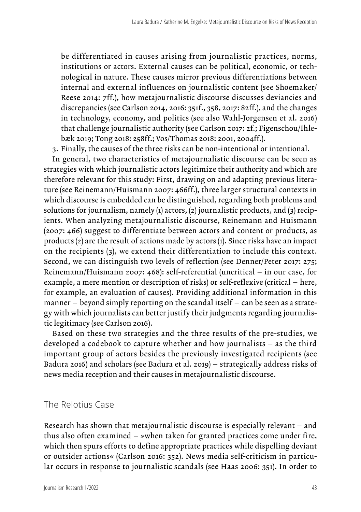be differentiated in causes arising from journalistic practices, norms, institutions or actors. External causes can be political, economic, or technological in nature. These causes mirror previous differentiations between internal and external influences on journalistic content (see Shoemaker/ Reese 2014: 7ff.), how metajournalistic discourse discusses deviancies and discrepancies (see Carlson 2014, 2016: 351f., 358, 2017: 82ff.), and the changes in technology, economy, and politics (see also Wahl-Jorgensen et al. 2016) that challenge journalistic authority (see Carlson 2017: 2f.; Figenschou/Ihlebæk 2019; Tong 2018: 258ff.; Vos/Thomas 2018: 2001, 2004ff.).

3. Finally, the causes of the three risks can be non-intentional or intentional.

In general, two characteristics of metajournalistic discourse can be seen as strategies with which journalistic actors legitimize their authority and which are therefore relevant for this study: First, drawing on and adapting previous literature (see Reinemann/Huismann 2007: 466ff.), three larger structural contexts in which discourse is embedded can be distinguished, regarding both problems and solutions for journalism, namely (1) actors, (2) journalistic products, and (3) recipients. When analyzing metajournalistic discourse, Reinemann and Huismann (2007: 466) suggest to differentiate between actors and content or products, as products (2) are the result of actions made by actors (1). Since risks have an impact on the recipients (3), we extend their differentiation to include this context. Second, we can distinguish two levels of reflection (see Denner/Peter 2017: 275; Reinemann/Huismann 2007: 468): self-referential (uncritical – in our case, for example, a mere mention or description of risks) or self-reflexive (critical – here, for example, an evaluation of causes). Providing additional information in this manner – beyond simply reporting on the scandal itself – can be seen as a strategy with which journalists can better justify their judgments regarding journalistic legitimacy (see Carlson 2016).

Based on these two strategies and the three results of the pre-studies, we developed a codebook to capture whether and how journalists – as the third important group of actors besides the previously investigated recipients (see Badura 2016) and scholars (see Badura et al. 2019) – strategically address risks of news media reception and their causes in metajournalistic discourse.

#### The Relotius Case

Research has shown that metajournalistic discourse is especially relevant – and thus also often examined – »when taken for granted practices come under fire, which then spurs efforts to define appropriate practices while dispelling deviant or outsider actions« (Carlson 2016: 352). News media self-criticism in particular occurs in response to journalistic scandals (see Haas 2006: 351). In order to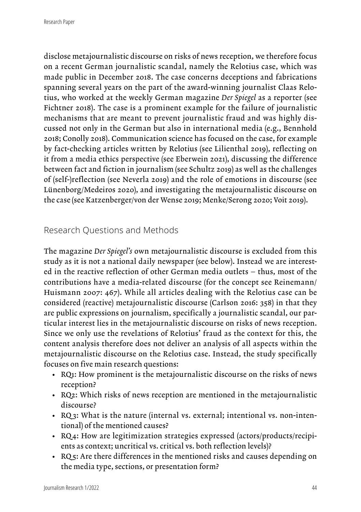disclose metajournalistic discourse on risks of news reception, we therefore focus on a recent German journalistic scandal, namely the Relotius case, which was made public in December 2018. The case concerns deceptions and fabrications spanning several years on the part of the award-winning journalist Claas Relotius, who worked at the weekly German magazine *Der Spiegel* as a reporter (see Fichtner 2018). The case is a prominent example for the failure of journalistic mechanisms that are meant to prevent journalistic fraud and was highly discussed not only in the German but also in international media (e.g., Bennhold 2018; Conolly 2018). Communication science has focused on the case, for example by fact-checking articles written by Relotius (see Lilienthal 2019), reflecting on it from a media ethics perspective (see Eberwein 2021), discussing the difference between fact and fiction in journalism (see Schultz 2019) as well as the challenges of (self-)reflection (see Neverla 2019) and the role of emotions in discourse (see Lünenborg/Medeiros 2020), and investigating the metajournalistic discourse on the case (see Katzenberger/von der Wense 2019; Menke/Serong 2020; Voit 2019).

## Research Questions and Methods

The magazine *Der Spiegel's* own metajournalistic discourse is excluded from this study as it is not a national daily newspaper (see below). Instead we are interested in the reactive reflection of other German media outlets – thus, most of the contributions have a media-related discourse (for the concept see Reinemann/ Huismann 2007: 467). While all articles dealing with the Relotius case can be considered (reactive) metajournalistic discourse (Carlson 2016: 358) in that they are public expressions on journalism, specifically a journalistic scandal, our particular interest lies in the metajournalistic discourse on risks of news reception. Since we only use the revelations of Relotius' fraud as the context for this, the content analysis therefore does not deliver an analysis of all aspects within the metajournalistic discourse on the Relotius case. Instead, the study specifically focuses on five main research questions:

- RQ1: How prominent is the metajournalistic discourse on the risks of news reception?
- RQ2: Which risks of news reception are mentioned in the metajournalistic discourse?
- RQ 3: What is the nature (internal vs. external; intentional vs. non-intentional) of the mentioned causes?
- RQ 4: How are legitimization strategies expressed (actors/products/recipients as context; uncritical vs. critical vs. both reflection levels)?
- RQ 5: Are there differences in the mentioned risks and causes depending on the media type, sections, or presentation form?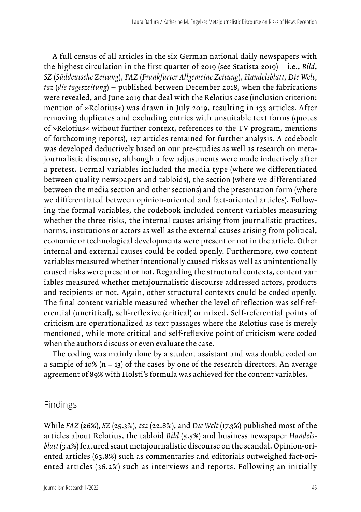A full census of all articles in the six German national daily newspapers with the highest circulation in the first quarter of 2019 (see Statista 2019) – i.e., *Bild*, *SZ* (*Süddeutsche Zeitung*), *FAZ* (*Frankfurter Allgemeine Zeitung*), *Handelsblatt*, *Die Welt*, *taz* (*die tageszeitung*) – published between December 2018, when the fabrications were revealed, and June 2019 that deal with the Relotius case (inclusion criterion: mention of »Relotius«) was drawn in July 2019, resulting in 133 articles. After removing duplicates and excluding entries with unsuitable text forms (quotes of »Relotius« without further context, references to the TV program, mentions of forthcoming reports), 127 articles remained for further analysis. A codebook was developed deductively based on our pre-studies as well as research on metajournalistic discourse, although a few adjustments were made inductively after a pretest. Formal variables included the media type (where we differentiated between quality newspapers and tabloids), the section (where we differentiated between the media section and other sections) and the presentation form (where we differentiated between opinion-oriented and fact-oriented articles). Following the formal variables, the codebook included content variables measuring whether the three risks, the internal causes arising from journalistic practices, norms, institutions or actors as well as the external causes arising from political, economic or technological developments were present or not in the article. Other internal and external causes could be coded openly. Furthermore, two content variables measured whether intentionally caused risks as well as unintentionally caused risks were present or not. Regarding the structural contexts, content variables measured whether metajournalistic discourse addressed actors, products and recipients or not. Again, other structural contexts could be coded openly. The final content variable measured whether the level of reflection was self-referential (uncritical), self-reflexive (critical) or mixed. Self-referential points of criticism are operationalized as text passages where the Relotius case is merely mentioned, while more critical and self-reflexive point of criticism were coded when the authors discuss or even evaluate the case.

The coding was mainly done by a student assistant and was double coded on a sample of 10%  $(n = 13)$  of the cases by one of the research directors. An average agreement of 89% with Holsti's formula was achieved for the content variables.

#### Findings

While *FAZ* (26%), *SZ* (25.3%), *taz* (22.8%), and *Die Welt* (17.3%) published most of the articles about Relotius, the tabloid *Bild* (5.5%) and business newspaper *Handelsblatt* (3.1%) featured scant metajournalistic discourse on the scandal. Opinion-oriented articles (63.8%) such as commentaries and editorials outweighed fact-oriented articles (36.2%) such as interviews and reports. Following an initially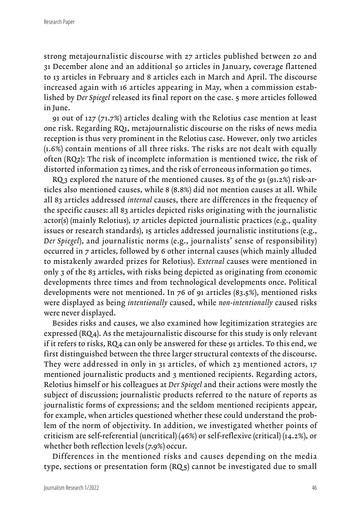strong metajournalistic discourse with 27 articles published between 20 and 31 December alone and an additional 50 articles in January, coverage flattened to 13 articles in February and 8 articles each in March and April. The discourse increased again with 16 articles appearing in May, when a commission established by *Der Spiegel* released its final report on the case. 5 more articles followed in June.

91 out of 127 (71.7%) articles dealing with the Relotius case mention at least one risk. Regarding RQ1, metajournalistic discourse on the risks of news media reception is thus very prominent in the Relotius case. However, only two articles (1.6%) contain mentions of all three risks. The risks are not dealt with equally often (RQ2): The risk of incomplete information is mentioned twice, the risk of distorted information 23 times, and the risk of erroneous information 90 times.

RQ 3 explored the nature of the mentioned causes. 83 of the 91 (91.2%) risk-articles also mentioned causes, while 8 (8.8%) did not mention causes at all. While all 83 articles addressed *internal* causes, there are differences in the frequency of the specific causes: all 83 articles depicted risks originating with the journalistic actor(s) (mainly Relotius), 17 articles depicted journalistic practices (e.g., quality issues or research standards), 15 articles addressed journalistic institutions (e.g., *Der Spiegel*), and journalistic norms (e.g., journalists' sense of responsibility) occurred in 7 articles, followed by 6 other internal causes (which mainly alluded to mistakenly awarded prizes for Relotius). *External* causes were mentioned in only 3 of the 83 articles, with risks being depicted as originating from economic developments three times and from technological developments once. Political developments were not mentioned. In 76 of 91 articles (83.5%), mentioned risks were displayed as being *intentionally* caused, while *non-intentionally* caused risks were never displayed.

Besides risks and causes, we also examined how legitimization strategies are expressed (RQ4). As the metajournalistic discourse for this study is only relevant if it refers to risks, RQ4 can only be answered for these 91 articles. To this end, we first distinguished between the three larger structural contexts of the discourse. They were addressed in only in 31 articles, of which 23 mentioned actors, 17 mentioned journalistic products and 3 mentioned recipients. Regarding actors, Relotius himself or his colleagues at *Der Spiegel* and their actions were mostly the subject of discussion; journalistic products referred to the nature of reports as journalistic forms of expressions; and the seldom mentioned recipients appear, for example, when articles questioned whether these could understand the problem of the norm of objectivity. In addition, we investigated whether points of criticism are self-referential (uncritical) (46%) or self-reflexive (critical) (14.2%), or whether both reflection levels (7.9%) occur.

Differences in the mentioned risks and causes depending on the media type, sections or presentation form (RQ<sub>5</sub>) cannot be investigated due to small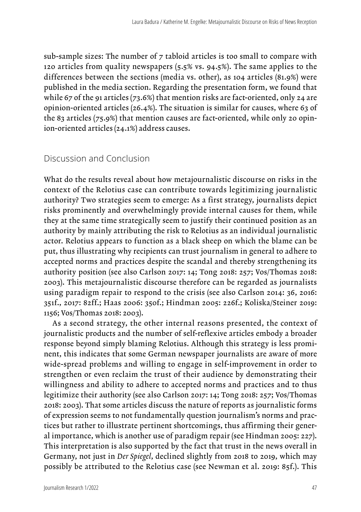sub-sample sizes: The number of 7 tabloid articles is too small to compare with 120 articles from quality newspapers (5.5% vs. 94.5%). The same applies to the differences between the sections (media vs. other), as 104 articles (81.9%) were published in the media section. Regarding the presentation form, we found that while 67 of the 91 articles (73.6%) that mention risks are fact-oriented, only 24 are opinion-oriented articles (26.4%). The situation is similar for causes, where 63 of the 83 articles (75.9%) that mention causes are fact-oriented, while only 20 opinion-oriented articles (24.1%) address causes.

## Discussion and Conclusion

What do the results reveal about how metajournalistic discourse on risks in the context of the Relotius case can contribute towards legitimizing journalistic authority? Two strategies seem to emerge: As a first strategy, journalists depict risks prominently and overwhelmingly provide internal causes for them, while they at the same time strategically seem to justify their continued position as an authority by mainly attributing the risk to Relotius as an individual journalistic actor. Relotius appears to function as a black sheep on which the blame can be put, thus illustrating why recipients can trust journalism in general to adhere to accepted norms and practices despite the scandal and thereby strengthening its authority position (see also Carlson 2017: 14; Tong 2018: 257; Vos/Thomas 2018: 2003). This metajournalistic discourse therefore can be regarded as journalists using paradigm repair to respond to the crisis (see also Carlson 2014: 36, 2016: 351f., 2017: 82ff.; Haas 2006: 350f.; Hindman 2005: 226f.; Koliska/Steiner 2019: 1156; Vos/Thomas 2018: 2003).

As a second strategy, the other internal reasons presented, the context of journalistic products and the number of self-reflexive articles embody a broader response beyond simply blaming Relotius. Although this strategy is less prominent, this indicates that some German newspaper journalists are aware of more wide-spread problems and willing to engage in self-improvement in order to strengthen or even reclaim the trust of their audience by demonstrating their willingness and ability to adhere to accepted norms and practices and to thus legitimize their authority (see also Carlson 2017: 14; Tong 2018: 257; Vos/Thomas 2018: 2003). That some articles discuss the nature of reports as journalistic forms of expression seems to not fundamentally question journalism's norms and practices but rather to illustrate pertinent shortcomings, thus affirming their general importance, which is another use of paradigm repair (see Hindman 2005: 227). This interpretation is also supported by the fact that trust in the news overall in Germany, not just in *Der Spiegel*, declined slightly from 2018 to 2019, which may possibly be attributed to the Relotius case (see Newman et al. 2019: 85f.). This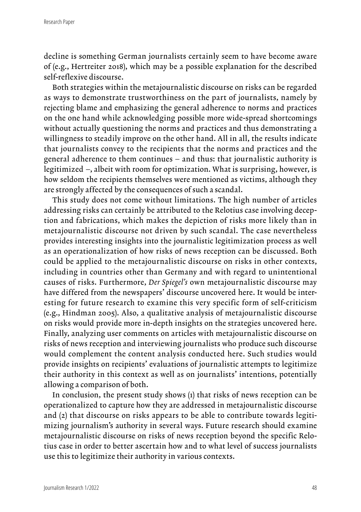decline is something German journalists certainly seem to have become aware of (e.g., Hertreiter 2018), which may be a possible explanation for the described self-reflexive discourse.

Both strategies within the metajournalistic discourse on risks can be regarded as ways to demonstrate trustworthiness on the part of journalists, namely by rejecting blame and emphasizing the general adherence to norms and practices on the one hand while acknowledging possible more wide-spread shortcomings without actually questioning the norms and practices and thus demonstrating a willingness to steadily improve on the other hand. All in all, the results indicate that journalists convey to the recipients that the norms and practices and the general adherence to them continues – and thus: that journalistic authority is legitimized –, albeit with room for optimization. What is surprising, however, is how seldom the recipients themselves were mentioned as victims, although they are strongly affected by the consequences of such a scandal.

This study does not come without limitations. The high number of articles addressing risks can certainly be attributed to the Relotius case involving deception and fabrications, which makes the depiction of risks more likely than in metajournalistic discourse not driven by such scandal. The case nevertheless provides interesting insights into the journalistic legitimization process as well as an operationalization of how risks of news reception can be discussed. Both could be applied to the metajournalistic discourse on risks in other contexts, including in countries other than Germany and with regard to unintentional causes of risks. Furthermore, *Der Spiegel's* own metajournalistic discourse may have differed from the newspapers' discourse uncovered here. It would be interesting for future research to examine this very specific form of self-criticism (e.g., Hindman 2005). Also, a qualitative analysis of metajournalistic discourse on risks would provide more in-depth insights on the strategies uncovered here. Finally, analyzing user comments on articles with metajournalistic discourse on risks of news reception and interviewing journalists who produce such discourse would complement the content analysis conducted here. Such studies would provide insights on recipients' evaluations of journalistic attempts to legitimize their authority in this context as well as on journalists' intentions, potentially allowing a comparison of both.

In conclusion, the present study shows (1) that risks of news reception can be operationalized to capture how they are addressed in metajournalistic discourse and (2) that discourse on risks appears to be able to contribute towards legitimizing journalism's authority in several ways. Future research should examine metajournalistic discourse on risks of news reception beyond the specific Relotius case in order to better ascertain how and to what level of success journalists use this to legitimize their authority in various contexts.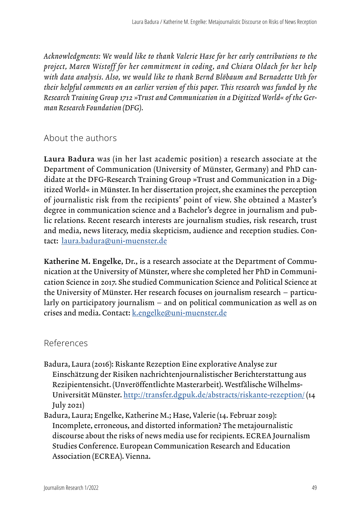*Acknowledgments: We would like to thank Valerie Hase for her early contributions to the project, Maren Wistoff for her commitment in coding, and Chiara Oldach for her help with data analysis. Also, we would like to thank Bernd Blöbaum and Bernadette Uth for their helpful comments on an earlier version of this paper. This research was funded by the Research Training Group 1712 »Trust and Communication in a Digitized World« of the German Research Foundation (DFG).* 

## About the authors

Laura Badura was (in her last academic position) a research associate at the Department of Communication (University of Münster, Germany) and PhD candidate at the DFG-Research Training Group »Trust and Communication in a Digitized World« in Münster. In her dissertation project, she examines the perception of journalistic risk from the recipients' point of view. She obtained a Master's degree in communication science and a Bachelor's degree in journalism and public relations. Recent research interests are journalism studies, risk research, trust and media, news literacy, media skepticism, audience and reception studies. Contact: laura.badura@uni-muenster.de

Katherine M. Engelke, Dr., is a research associate at the Department of Communication at the University of Münster, where she completed her PhD in Communication Science in 2017. She studied Communication Science and Political Science at the University of Münster. Her research focuses on journalism research – particularly on participatory journalism – and on political communication as well as on crises and media. Contact: [k.engelke@uni-muenster.de](mailto:k.engelke@uni-muenster.de)

### References

- Badura, Laura (2016): Riskante Rezeption Eine explorative Analyse zur Einschätzung der Risiken nachrichtenjournalistischer Berichterstattung aus Rezipientensicht. (Unveröffentlichte Masterarbeit). Westfälische Wilhelms-Universität Münster. <http://transfer.dgpuk.de/abstracts/riskante-rezeption/> (14 July 2021)
- Badura, Laura; Engelke, Katherine M.; Hase, Valerie (14. Februar 2019): Incomplete, erroneous, and distorted information? The metajournalistic discourse about the risks of news media use for recipients. ECREA Journalism Studies Conference. European Communication Research and Education Association (ECREA). Vienna.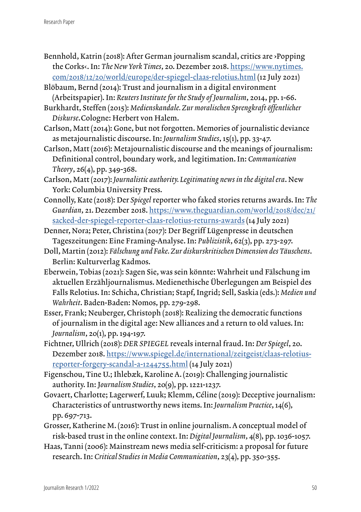- Bennhold, Katrin (2018): After German journalism scandal, critics are ›Popping the Corks‹. In: *The New York Times*, 20. Dezember 2018. [https://www.nytimes.](https://www.nytimes.com/2018/12/20/world/europe/der-spiegel-claas-relotius.html) [com/2018/12/20/world/europe/der-spiegel-claas-relotius.html](https://www.nytimes.com/2018/12/20/world/europe/der-spiegel-claas-relotius.html) (12 July 2021)
- Blöbaum, Bernd (2014): Trust and journalism in a digital environment (Arbeitspapier). In: *Reuters Institute for the Study of Journalism*, 2014, pp. 1-66.
- Burkhardt, Steffen (2015): *Medienskandale. Zur moralischen Sprengkraft öffentlicher Diskurse*.Cologne: Herbert von Halem.
- Carlson, Matt (2014): Gone, but not forgotten. Memories of journalistic deviance as metajournalistic discourse. In: *Journalism Studies*, 15(1), pp. 33-47.
- Carlson, Matt (2016): Metajournalistic discourse and the meanings of journalism: Definitional control, boundary work, and legitimation. In: *Communication Theory*, 26(4), pp. 349-368.
- Carlson, Matt (2017): *Journalistic authority. Legitimating news in the digital era*. New York: Columbia University Press.
- Connolly, Kate (2018): Der *Spiegel* reporter who faked stories returns awards. In: *The Guardian*, 21. Dezember 2018. [https://www.theguardian.com/world/2018/dec/21/](https://www.theguardian.com/world/2018/dec/21/sacked-der-spiegel-reporter-claas-relotius-returns-awards) [sacked-der-spiegel-reporter-claas-relotius-returns-awards](https://www.theguardian.com/world/2018/dec/21/sacked-der-spiegel-reporter-claas-relotius-returns-awards) (14 July 2021)
- Denner, Nora; Peter, Christina (2017): Der Begriff Lügenpresse in deutschen Tageszeitungen: Eine Framing-Analyse. In: *Publizistik*, 62(3), pp. 273-297.
- Doll, Martin (2012): *Fälschung und Fake. Zur diskurskritischen Dimension des Täuschens*. Berlin: Kulturverlag Kadmos.
- Eberwein, Tobias (2021): Sagen Sie, was sein könnte: Wahrheit und Fälschung im aktuellen Erzähljournalismus. Medienethische Überlegungen am Beispiel des Falls Relotius. In: Schicha, Christian; Stapf, Ingrid; Sell, Saskia (eds.): *Medien und Wahrheit*. Baden-Baden: Nomos, pp. 279-298.
- Esser, Frank; Neuberger, Christoph (2018): Realizing the democratic functions of journalism in the digital age: New alliances and a return to old values. In: *Journalism*, 20(1), pp. 194-197.
- Fichtner, Ullrich (2018): *DER SPIEGEL* reveals internal fraud. In: *Der Spiegel*, 20. Dezember 2018. [https://www.spiegel.de/international/zeitgeist/claas-relotius](https://www.spiegel.de/international/zeitgeist/claas-relotius-reporter-forgery-scandal-a-1244755.html)[reporter-forgery-scandal-a-1244755.html](https://www.spiegel.de/international/zeitgeist/claas-relotius-reporter-forgery-scandal-a-1244755.html) (14 July 2021)
- Figenschou, Tine U.; Ihlebæk, Karoline A. (2019): Challenging journalistic authority. In: J*ournalism Studies*, 20(9), pp. 1221-1237.
- Govaert, Charlotte; Lagerwerf, Luuk; Klemm, Céline (2019): Deceptive journalism: Characteristics of untrustworthy news items. In: *Journalism Practice*, 14(6), pp. 697-713.
- Grosser, Katherine M. (2016): Trust in online journalism. A conceptual model of risk-based trust in the online context. In: *Digital Journalism*, 4(8), pp. 1036-1057.
- Haas, Tanni (2006): Mainstream news media self-criticism: a proposal for future research. In: *Critical Studies in Media Communication*, 23(4), pp. 350-355.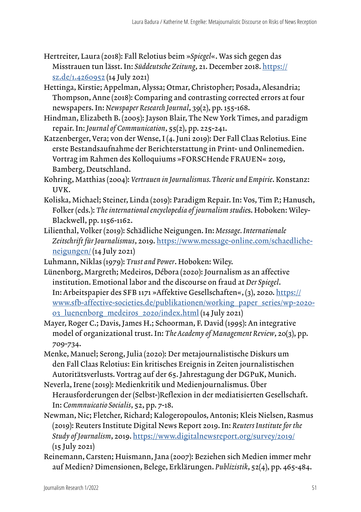- Hertreiter, Laura (2018): Fall Relotius beim »*Spiegel*«. Was sich gegen das Misstrauen tun lässt. In: *Süddeutsche Zeitung*, 21. December 2018. [https://](https://sz.de/1.4260952) [sz.de/1.4260952](https://sz.de/1.4260952) (14 July 2021)
- Hettinga, Kirstie; Appelman, Alyssa; Otmar, Christopher; Posada, Alesandria; Thompson, Anne (2018): Comparing and contrasting corrected errors at four newspapers. In: *Newspaper Research Journal*, 39(2), pp. 155-168.
- Hindman, Elizabeth B. (2005): Jayson Blair, The New York Times, and paradigm repair. In: *Journal of Communication*, 55(2), pp. 225-241.
- Katzenberger, Vera; von der Wense, I (4. Juni 2019): Der Fall Claas Relotius. Eine erste Bestandsaufnahme der Berichterstattung in Print- und Onlinemedien. Vortrag im Rahmen des Kolloquiums »FORSCHende FRAUEN« 2019, Bamberg, Deutschland.
- Kohring, Matthias (2004): *Vertrauen in Journalismus. Theorie und Empirie*. Konstanz: UVK.
- Koliska, Michael; Steiner, Linda (2019): Paradigm Repair. In: Vos, Tim P.; Hanusch, Folker (eds.): *The international encyclopedia of journalism studie*s. Hoboken: Wiley-Blackwell, pp. 1156-1162.
- Lilienthal, Volker (2019): Schädliche Neigungen. In: *Message. Internationale Zeitschrift für Journalismus*, 2019. [https://www.message-online.com/schaedliche](https://www.message-online.com/schaedliche-neigungen/)[neigungen/](https://www.message-online.com/schaedliche-neigungen/) (14 July 2021)
- Luhmann, Niklas (1979): *Trust and Power*. Hoboken: Wiley.
- Lünenborg, Margreth; Medeiros, Débora (2020): Journalism as an affective institution. Emotional labor and the discourse on fraud at *Der Spiegel*. In: Arbeitspapier des SFB 1171 »Affektive Gesellschaften«, (3), 2020. [https://](https://www.sfb-affective-societies.de/publikationen/working_paper_series/wp-2020-03_luenenborg_medeiros_2020/index.html) [www.sfb-affective-societies.de/publikationen/working\\_paper\\_series/wp-2020-](https://www.sfb-affective-societies.de/publikationen/working_paper_series/wp-2020-03_luenenborg_medeiros_2020/index.html) [03\\_luenenborg\\_medeiros\\_2020/index.html](https://www.sfb-affective-societies.de/publikationen/working_paper_series/wp-2020-03_luenenborg_medeiros_2020/index.html) (14 July 2021)
- Mayer, Roger C.; Davis, James H.; Schoorman, F. David (1995): An integrative model of organizational trust. In: *The Academy of Management Review*, 20(3), pp. 709-734.
- Menke, Manuel; Serong, Julia (2020): Der metajournalistische Diskurs um den Fall Claas Relotius: Ein kritisches Ereignis in Zeiten journalistischen Autoritätsverlusts. Vortrag auf der 65. Jahrestagung der DGPuK, Munich.
- Neverla, Irene (2019): Medienkritik und Medienjournalismus. Über Herausforderungen der (Selbst-)Reflexion in der mediatisierten Gesellschaft. In: *Commnuicatio Socialis*, 52, pp. 7-18.
- Newman, Nic; Fletcher, Richard; Kalogeropoulos, Antonis; Kleis Nielsen, Rasmus (2019): Reuters Institute Digital News Report 2019. In: *Reuters Institute for the Study of Journalism*, 2019. <https://www.digitalnewsreport.org/survey/2019/> (15 July 2021)
- Reinemann, Carsten; Huismann, Jana (2007): Beziehen sich Medien immer mehr auf Medien? Dimensionen, Belege, Erklärungen. *Publizistik*, 52(4), pp. 465-484.